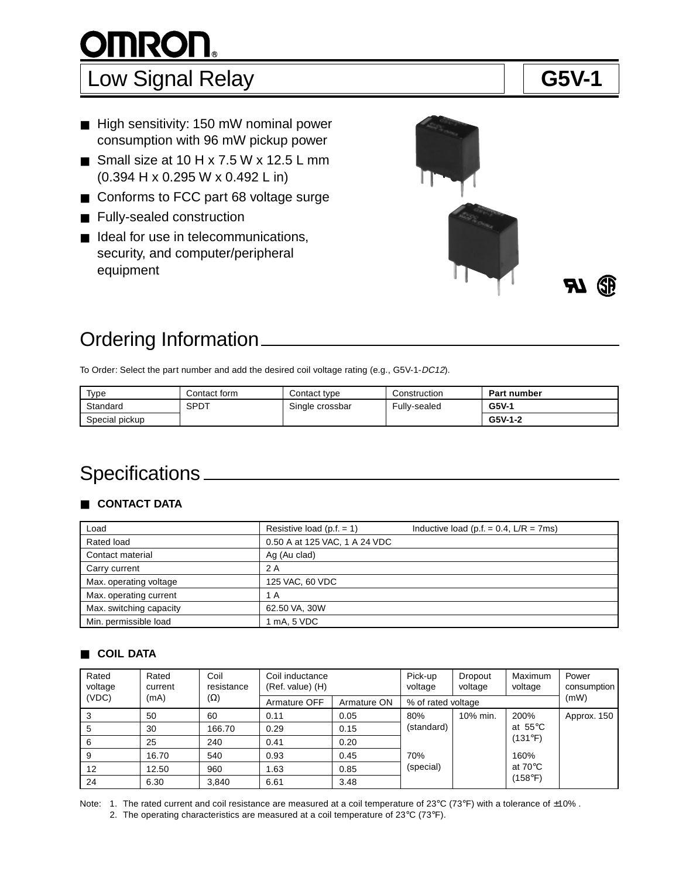# **OMRON®**

## Low Signal Relay **G5V-1**

- High sensitivity: 150 mW nominal power consumption with 96 mW pickup power
- Small size at  $10 H x 7.5 W x 12.5 L mm$ (0.394 H x 0.295 W x 0.492 L in)
- Conforms to FCC part 68 voltage surge
- Fully-sealed construction
- Ideal for use in telecommunications, security, and computer/peripheral equipment



## Ordering Information

To Order: Select the part number and add the desired coil voltage rating (e.g., G5V-1-DC12).

| Type           | Contact form | Contact type    | Construction | <b>Part number</b> |
|----------------|--------------|-----------------|--------------|--------------------|
| Standard       | SPDT         | Single crossbar | Fully-sealed | $G5V-1$            |
| Special pickup |              |                 |              | $G5V-1-2$          |

## Specifications \_\_\_\_\_\_

### ■ **CONTACT DATA**

| Load                    | Resistive load $(p.f. = 1)$   | Inductive load (p.f. = $0.4$ , L/R = 7ms) |
|-------------------------|-------------------------------|-------------------------------------------|
| Rated load              | 0.50 A at 125 VAC, 1 A 24 VDC |                                           |
| Contact material        | Ag (Au clad)                  |                                           |
| Carry current           | 2 A                           |                                           |
| Max. operating voltage  | 125 VAC, 60 VDC               |                                           |
| Max. operating current  | 1 A                           |                                           |
| Max. switching capacity | 62.50 VA, 30W                 |                                           |
| Min. permissible load   | I mA, 5 VDC                   |                                           |

#### ■ **COIL DATA**

| Rated<br>voltage | Coil<br>Rated<br>resistance<br>current |            | Coil inductance<br>(Ref. value) (H) |             | Pick-up<br>voltage | Dropout<br>voltage | Maximum<br>voltage         | Power<br>consumption |
|------------------|----------------------------------------|------------|-------------------------------------|-------------|--------------------|--------------------|----------------------------|----------------------|
| (VDC)            | (mA)                                   | $(\Omega)$ | Armature OFF                        | Armature ON | % of rated voltage |                    |                            | (mW)                 |
| 3                | 50                                     | 60         | 0.11                                | 0.05        | 80%                | 10% min.           | 200%                       | Approx. 150          |
| 5                | 30                                     | 166.70     | 0.29                                | 0.15        | (standard)         | (131°F)            | at $55^{\circ}$ C          |                      |
| 6                | 25                                     | 240        | 0.41                                | 0.20        |                    |                    |                            |                      |
|                  | 16.70                                  | 540        | 0.93                                | 0.45        | 70%                |                    | 160%                       |                      |
| 12               | 12.50                                  | 960        | 1.63                                | 0.85        | (special)          |                    | at 70 $\mathrm{^{\circ}C}$ |                      |
| 24               | 6.30                                   | 3.840      | 6.61                                | 3.48        |                    |                    | (158°F)                    |                      |

Note: 1. The rated current and coil resistance are measured at a coil temperature of 23°C (73°F) with a tolerance of  $\pm 10\%$ . 2. The operating characteristics are measured at a coil temperature of 23°C (73°F).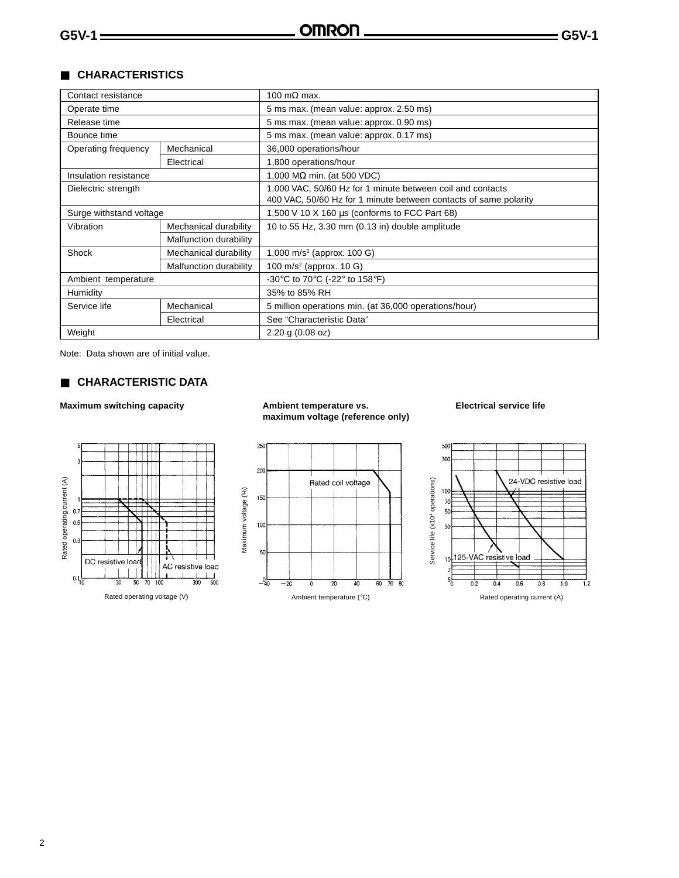#### ■ **CHARACTERISTICS**

| Contact resistance                 |                        | 100 m $\Omega$ max.                                                  |  |  |
|------------------------------------|------------------------|----------------------------------------------------------------------|--|--|
| Operate time                       |                        | 5 ms max. (mean value: approx. 2.50 ms)                              |  |  |
| Release time                       |                        | 5 ms max. (mean value: approx. 0.90 ms)                              |  |  |
| Bounce time                        |                        | 5 ms max. (mean value: approx. 0.17 ms)                              |  |  |
| Operating frequency                | Mechanical             | 36,000 operations/hour                                               |  |  |
|                                    | Electrical             | 1,800 operations/hour                                                |  |  |
| Insulation resistance              |                        | 1,000 M $\Omega$ min. (at 500 VDC)                                   |  |  |
| Dielectric strength                |                        | 1,000 VAC, 50/60 Hz for 1 minute between coil and contacts           |  |  |
|                                    |                        | 400 VAC, 50/60 Hz for 1 minute between contacts of same polarity     |  |  |
| Surge withstand voltage            |                        | 1,500 V 10 X 160 $\mu$ s (conforms to FCC Part 68)                   |  |  |
| Vibration<br>Mechanical durability |                        | 10 to 55 Hz, 3.30 mm (0.13 in) double amplitude                      |  |  |
|                                    | Malfunction durability |                                                                      |  |  |
| Shock                              | Mechanical durability  | 1,000 m/s <sup>2</sup> (approx. 100 G)                               |  |  |
|                                    | Malfunction durability | 100 m/s <sup>2</sup> (approx. 10 G)                                  |  |  |
| Ambient temperature                |                        | -30 $\degree$ C to 70 $\degree$ C (-22 $\degree$ to 158 $\degree$ F) |  |  |
| Humidity                           |                        | 35% to 85% RH                                                        |  |  |
| Service life                       | Mechanical             | 5 million operations min. (at 36,000 operations/hour)                |  |  |
|                                    | Electrical             | See "Characteristic Data"                                            |  |  |
| Weight                             |                        | $2.20$ g (0.08 oz)                                                   |  |  |

Note: Data shown are of initial value.

#### ■ **CHARACTERISTIC DATA**

#### Maximum switching capacity **Ambient temperature vs.** Electrical service life **maximum voltage (reference only)**